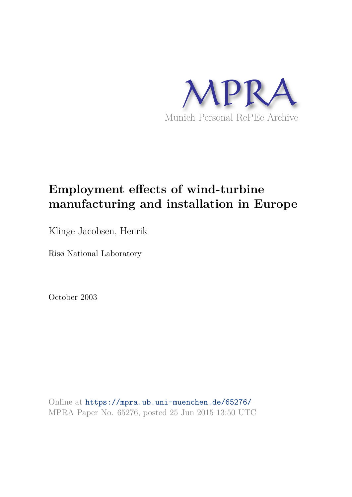

# **Employment effects of wind-turbine manufacturing and installation in Europe**

Klinge Jacobsen, Henrik

Risø National Laboratory

October 2003

Online at https://mpra.ub.uni-muenchen.de/65276/ MPRA Paper No. 65276, posted 25 Jun 2015 13:50 UTC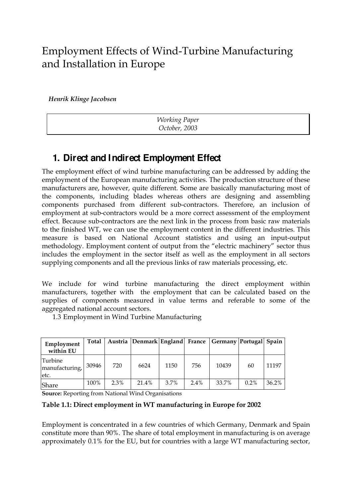## Employment Effects of Wind-Turbine Manufacturing and Installation in Europe

*Henrik Klinge Jacobsen*

| <b>Working Paper</b> |
|----------------------|
| October, 2003        |

## **1. Direct and Indirect Employment Effect**

The employment effect of wind turbine manufacturing can be addressed by adding the employment of the European manufacturing activities. The production structure of these manufacturers are, however, quite different. Some are basically manufacturing most of the components, including blades whereas others are designing and assembling components purchased from different sub-contractors. Therefore, an inclusion of employment at sub-contractors would be a more correct assessment of the employment effect. Because sub-contractors are the next link in the process from basic raw materials to the finished WT, we can use the employment content in the different industries. This measure is based on National Account statistics and using an input-output methodology. Employment content of output from the "electric machinery" sector thus includes the employment in the sector itself as well as the employment in all sectors supplying components and all the previous links of raw materials processing, etc.

We include for wind turbine manufacturing the direct employment within manufacturers, together with the employment that can be calculated based on the supplies of components measured in value terms and referable to some of the aggregated national account sectors.

1.3 Employment in Wind Turbine Manufacturing

| Employment<br>within EU           | Total |      | Austria Denmark England France |      |         | Germany Portugal Spain |         |       |
|-----------------------------------|-------|------|--------------------------------|------|---------|------------------------|---------|-------|
| Turbine<br>manufacturing,<br>etc. | 30946 | 720  | 6624                           | 1150 | 756     | 10439                  | 60      | 11197 |
| Share                             | 100%  | 2.3% | 21.4%                          | 3.7% | $2.4\%$ | 33.7%                  | $0.2\%$ | 36.2% |

**Source:** Reporting from National Wind Organisations

**Table 1.1: Direct employment in WT manufacturing in Europe for 2002** 

Employment is concentrated in a few countries of which Germany, Denmark and Spain constitute more than 90%. The share of total employment in manufacturing is on average approximately 0.1% for the EU, but for countries with a large WT manufacturing sector,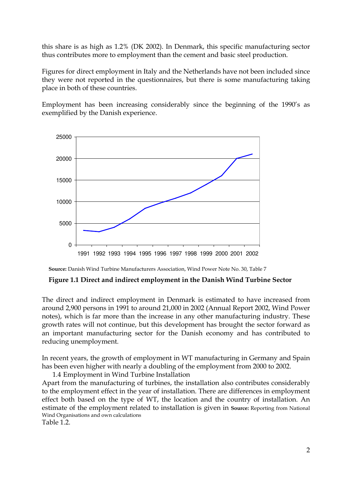this share is as high as 1.2% (DK 2002). In Denmark, this specific manufacturing sector thus contributes more to employment than the cement and basic steel production.

Figures for direct employment in Italy and the Netherlands have not been included since they were not reported in the questionnaires, but there is some manufacturing taking place in both of these countries.

Employment has been increasing considerably since the beginning of the 1990's as exemplified by the Danish experience.



**Source:** Danish Wind Turbine Manufacturers Association, Wind Power Note No. 30, Table 7

#### **Figure 1.1 Direct and indirect employment in the Danish Wind Turbine Sector**

The direct and indirect employment in Denmark is estimated to have increased from around 2,900 persons in 1991 to around 21,000 in 2002 (Annual Report 2002, Wind Power notes), which is far more than the increase in any other manufacturing industry. These growth rates will not continue, but this development has brought the sector forward as an important manufacturing sector for the Danish economy and has contributed to reducing unemployment.

In recent years, the growth of employment in WT manufacturing in Germany and Spain has been even higher with nearly a doubling of the employment from 2000 to 2002.

1.4 Employment in Wind Turbine Installation Apart from the manufacturing of turbines, the installation also contributes considerably to the employment effect in the year of installation. There are differences in employment effect both based on the type of WT, the location and the country of installation. An estimate of the employment related to installation is given in **Source:** Reporting from National Wind Organisations and own calculations Table 1.2.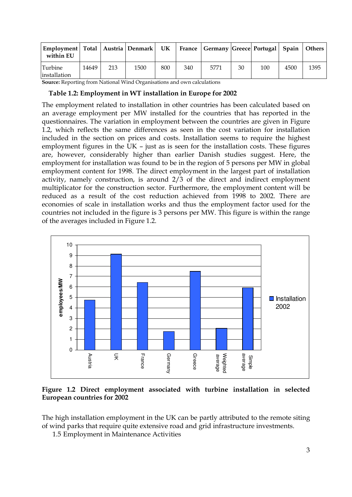| Employment   Total   Austria   Denmark   UK<br>within EU |       |     |      |     |     | France   Germany   Greece   Portugal   Spain   Others |    |     |      |      |
|----------------------------------------------------------|-------|-----|------|-----|-----|-------------------------------------------------------|----|-----|------|------|
| <b>Turbine</b><br>installation                           | 14649 | 213 | 1500 | 800 | 340 | 5771                                                  | 30 | 100 | 4500 | 1395 |

**Source:** Reporting from National Wind Organisations and own calculations

## **Table 1.2: Employment in WT installation in Europe for 2002**

The employment related to installation in other countries has been calculated based on an average employment per MW installed for the countries that has reported in the questionnaires. The variation in employment between the countries are given in Figure 1.2, which reflects the same differences as seen in the cost variation for installation included in the section on prices and costs. Installation seems to require the highest employment figures in the UK – just as is seen for the installation costs. These figures are, however, considerably higher than earlier Danish studies suggest. Here, the employment for installation was found to be in the region of 5 persons per MW in global employment content for 1998. The direct employment in the largest part of installation activity, namely construction, is around 2/3 of the direct and indirect employment multiplicator for the construction sector. Furthermore, the employment content will be reduced as a result of the cost reduction achieved from 1998 to 2002. There are economies of scale in installation works and thus the employment factor used for the countries not included in the figure is 3 persons per MW. This figure is within the range of the averages included in Figure 1.2.



### **Figure 1.2 Direct employment associated with turbine installation in selected European countries for 2002**

The high installation employment in the UK can be partly attributed to the remote siting of wind parks that require quite extensive road and grid infrastructure investments.

1.5 Employment in Maintenance Activities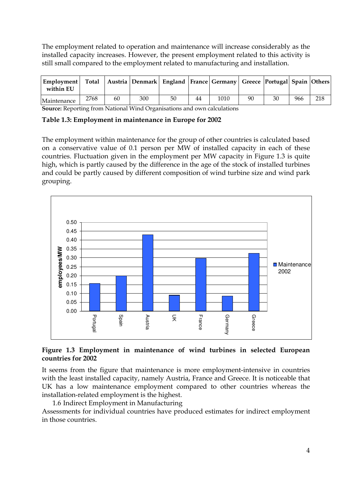The employment related to operation and maintenance will increase considerably as the installed capacity increases. However, the present employment related to this activity is still small compared to the employment related to manufacturing and installation.

| Employment   Total   Austria   Denmark   England   France   Germany   Greece   Portugal   Spain   Others  <br>within EU |      |    |     |    |    |      |    |    |     |     |
|-------------------------------------------------------------------------------------------------------------------------|------|----|-----|----|----|------|----|----|-----|-----|
| Maintenance                                                                                                             | 2768 | 60 | 300 | 50 | 44 | 1010 | 90 | 30 | 966 | 218 |

**Source:** Reporting from National Wind Organisations and own calculations

**Table 1.3: Employment in maintenance in Europe for 2002** 

The employment within maintenance for the group of other countries is calculated based on a conservative value of 0.1 person per MW of installed capacity in each of these countries. Fluctuation given in the employment per MW capacity in Figure 1.3 is quite high, which is partly caused by the difference in the age of the stock of installed turbines and could be partly caused by different composition of wind turbine size and wind park grouping.



### **Figure 1.3 Employment in maintenance of wind turbines in selected European countries for 2002**

It seems from the figure that maintenance is more employment-intensive in countries with the least installed capacity, namely Austria, France and Greece. It is noticeable that UK has a low maintenance employment compared to other countries whereas the installation-related employment is the highest.

1.6 Indirect Employment in Manufacturing

Assessments for individual countries have produced estimates for indirect employment in those countries.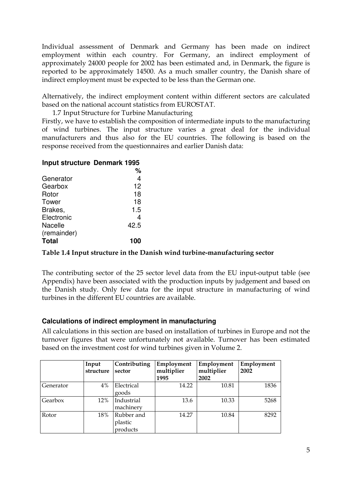Individual assessment of Denmark and Germany has been made on indirect employment within each country. For Germany, an indirect employment of approximately 24000 people for 2002 has been estimated and, in Denmark, the figure is reported to be approximately 14500. As a much smaller country, the Danish share of indirect employment must be expected to be less than the German one.

Alternatively, the indirect employment content within different sectors are calculated based on the national account statistics from EUROSTAT.

1.7 Input Structure for Turbine Manufacturing

Firstly, we have to establish the composition of intermediate inputs to the manufacturing of wind turbines. The input structure varies a great deal for the individual manufacturers and thus also for the EU countries. The following is based on the response received from the questionnaires and earlier Danish data:

### **Input structure Denmark 1995**

|              | ℅    |
|--------------|------|
| Generator    | 4    |
| Gearbox      | 12   |
| Rotor        | 18   |
| Tower        | 18   |
| Brakes,      | 1.5  |
| Electronic   | 4    |
| Nacelle      | 42.5 |
| (remainder)  |      |
| <b>Total</b> | 100  |

### **Table 1.4 Input structure in the Danish wind turbine-manufacturing sector**

The contributing sector of the 25 sector level data from the EU input-output table (see Appendix) have been associated with the production inputs by judgement and based on the Danish study. Only few data for the input structure in manufacturing of wind turbines in the different EU countries are available.

### **Calculations of indirect employment in manufacturing**

All calculations in this section are based on installation of turbines in Europe and not the turnover figures that were unfortunately not available. Turnover has been estimated based on the investment cost for wind turbines given in Volume 2.

|           | Input<br>structure | Contributing<br>sector            | Employment<br>multiplier<br>1995 | Employment<br>multiplier<br>2002 | Employment<br>2002 |
|-----------|--------------------|-----------------------------------|----------------------------------|----------------------------------|--------------------|
| Generator | 4%                 | Electrical<br>goods               | 14.22                            | 10.81                            | 1836               |
| Gearbox   | 12%                | Industrial<br>machinery           | 13.6                             | 10.33                            | 5268               |
| Rotor     | 18%                | Rubber and<br>plastic<br>products | 14.27                            | 10.84                            | 8292               |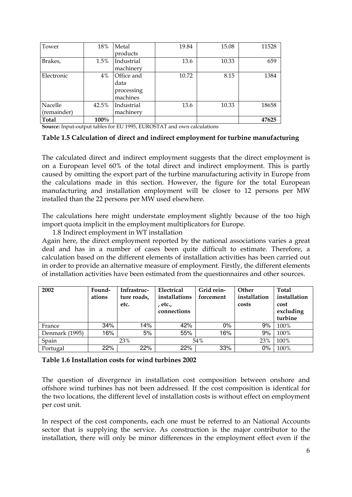| Tower       | 18%     | Metal      | 19.84 | 15.08 | 11528 |
|-------------|---------|------------|-------|-------|-------|
|             |         | products   |       |       |       |
| Brakes,     | 1.5%    | Industrial | 13.6  | 10.33 | 659   |
|             |         | machinery  |       |       |       |
| Electronic  | 4%      | Office and | 10.72 | 8.15  | 1384  |
|             |         | data       |       |       |       |
|             |         | processing |       |       |       |
|             |         | machines   |       |       |       |
| Nacelle     | 42.5%   | Industrial | 13.6  | 10.33 | 18658 |
| (remainder) |         | machinery  |       |       |       |
| Total       | $100\%$ |            |       |       | 47625 |

**Source:** Input-output tables for EU 1995, EUROSTAT and own calculations

#### **Table 1.5 Calculation of direct and indirect employment for turbine manufacturing**

The calculated direct and indirect employment suggests that the direct employment is on a European level 60% of the total direct and indirect employment. This is partly caused by omitting the export part of the turbine manufacturing activity in Europe from the calculations made in this section. However, the figure for the total European manufacturing and installation employment will be closer to 12 persons per MW installed than the 22 persons per MW used elsewhere.

The calculations here might understate employment slightly because of the too high import quota implicit in the employment multiplicators for Europe.

1.8 Indirect employment in WT installation

Again here, the direct employment reported by the national associations varies a great deal and has in a number of cases been quite difficult to estimate. Therefore, a calculation based on the different elements of installation activities has been carried out in order to provide an alternative measure of employment. Firstly, the different elements of installation activities have been estimated from the questionnaires and other sources.

| 2002           | Found-<br>ations | Infrastruc-<br>ture roads,<br>etc. | Electrical<br>installations<br>, etc.,<br>connections | Grid rein-<br>forcement | Other<br>installation<br>costs | <b>Total</b><br>installation<br>cost<br>excluding<br>turbine |
|----------------|------------------|------------------------------------|-------------------------------------------------------|-------------------------|--------------------------------|--------------------------------------------------------------|
| France         | 34%              | 14%                                | 42%                                                   | $0\%$                   | 9%                             | 100%                                                         |
| Denmark (1995) | 16%              | 5%                                 | 55%                                                   | 16%                     | 9%                             | 100%                                                         |
| Spain          |                  | 23%                                | 54%                                                   |                         | 23%                            | 100%                                                         |
| Portugal       | 22%              | 22%                                | 22%                                                   | 33%                     | 0%                             | 100%                                                         |

| Table 1.6 Installation costs for wind turbines 2002 |  |
|-----------------------------------------------------|--|
|-----------------------------------------------------|--|

The question of divergence in installation cost composition between onshore and offshore wind turbines has not been addressed. If the cost composition is identical for the two locations, the different level of installation costs is without effect on employment per cost unit.

In respect of the cost components, each one must be referred to an National Accounts sector that is supplying the service. As construction is the major contributor to the installation, there will only be minor differences in the employment effect even if the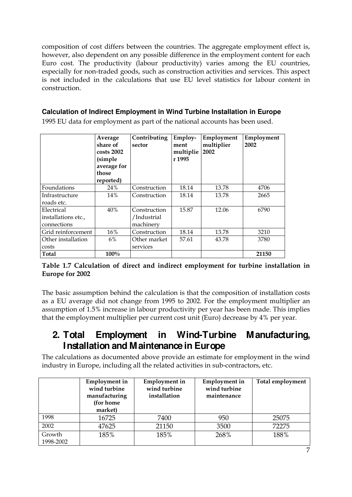composition of cost differs between the countries. The aggregate employment effect is, however, also dependent on any possible difference in the employment content for each Euro cost. The productivity (labour productivity) varies among the EU countries, especially for non-traded goods, such as construction activities and services. This aspect is not included in the calculations that use EU level statistics for labour content in construction.

## **Calculation of Indirect Employment in Wind Turbine Installation in Europe**

1995 EU data for employment as part of the national accounts has been used.

|                                                  | Average<br>share of<br>$costs$ 2002<br>(simple<br>average for<br>those<br>reported) | Contributing<br>sector                   | Employ-<br>ment<br>multiplie<br>r 1995 | Employment<br>multiplier<br>2002 | Employment<br>2002 |
|--------------------------------------------------|-------------------------------------------------------------------------------------|------------------------------------------|----------------------------------------|----------------------------------|--------------------|
| Foundations                                      | 24%                                                                                 | Construction                             | 18.14                                  | 13.78                            | 4706               |
| Infrastructure<br>roads etc.                     | 14%                                                                                 | Construction                             | 18.14                                  | 13.78                            | 2665               |
| Electrical<br>installations etc.,<br>connections | 40%                                                                                 | Construction<br>/Industrial<br>machinery | 15.87                                  | 12.06                            | 6790               |
| Grid reinforcement                               | 16%                                                                                 | Construction                             | 18.14                                  | 13.78                            | 3210               |
| Other installation<br>costs                      | 6%                                                                                  | Other market<br>services                 | 57.61                                  | 43.78                            | 3780               |
| <b>Total</b>                                     | 100%                                                                                |                                          |                                        |                                  | 21150              |

## **Table 1.7 Calculation of direct and indirect employment for turbine installation in Europe for 2002**

The basic assumption behind the calculation is that the composition of installation costs as a EU average did not change from 1995 to 2002. For the employment multiplier an assumption of 1.5% increase in labour productivity per year has been made. This implies that the employment multiplier per current cost unit (Euro) decrease by 4% per year.

## **2. Total Employment in Wind-Turbine Manufacturing, Installation and Maintenance in Europe**

The calculations as documented above provide an estimate for employment in the wind industry in Europe, including all the related activities in sub-contractors, etc.

|                     | <b>Employment</b> in<br>wind turbine<br>manufacturing<br>(for home<br>market) | <b>Employment</b> in<br>wind turbine<br>installation | <b>Employment</b> in<br>wind turbine<br>maintenance | <b>Total employment</b> |
|---------------------|-------------------------------------------------------------------------------|------------------------------------------------------|-----------------------------------------------------|-------------------------|
| 1998                | 16725                                                                         | 7400                                                 | 950                                                 | 25075                   |
| 2002                | 47625                                                                         | 21150                                                | 3500                                                | 72275                   |
| Growth<br>1998-2002 | 185%                                                                          | 185%                                                 | 268%                                                | 188%                    |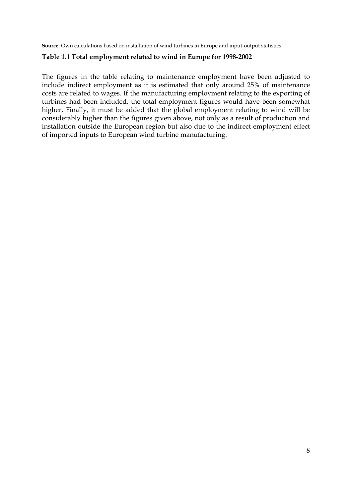**Source**: Own calculations based on installation of wind turbines in Europe and input-output statistics

#### **Table 1.1 Total employment related to wind in Europe for 1998-2002**

The figures in the table relating to maintenance employment have been adjusted to include indirect employment as it is estimated that only around 25% of maintenance costs are related to wages. If the manufacturing employment relating to the exporting of turbines had been included, the total employment figures would have been somewhat higher. Finally, it must be added that the global employment relating to wind will be considerably higher than the figures given above, not only as a result of production and installation outside the European region but also due to the indirect employment effect of imported inputs to European wind turbine manufacturing.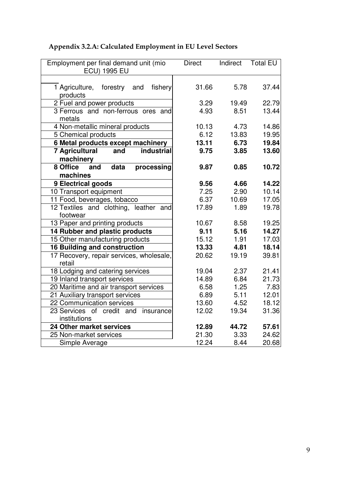## **Appendix 3.2.A: Calculated Employment in EU Level Sectors**

| Employment per final demand unit (mio<br><b>ECU) 1995 EU</b> | <b>Direct</b> | Indirect | <b>Total EU</b> |
|--------------------------------------------------------------|---------------|----------|-----------------|
|                                                              |               |          |                 |
| 1 Agriculture, forestry and<br>fishery<br>products           | 31.66         | 5.78     | 37.44           |
| 2 Fuel and power products                                    | 3.29          | 19.49    | 22.79           |
| 3 Ferrous and non-ferrous ores and                           | 4.93          | 8.51     | 13.44           |
| metals                                                       |               |          |                 |
| 4 Non-metallic mineral products                              | 10.13         | 4.73     | 14.86           |
| 5 Chemical products                                          | 6.12          | 13.83    | 19.95           |
| 6 Metal products except machinery                            | 13.11         | 6.73     | 19.84           |
| <b>7 Agricultural</b><br>industrial<br>and                   | 9.75          | 3.85     | 13.60           |
| machinery                                                    |               |          |                 |
| 8 Office<br>and<br>data<br>processing                        | 9.87          | 0.85     | 10.72           |
| machines                                                     |               |          |                 |
| 9 Electrical goods                                           | 9.56          | 4.66     | 14.22           |
| 10 Transport equipment                                       | 7.25          | 2.90     | 10.14           |
| 11 Food, beverages, tobacco                                  | 6.37          | 10.69    | 17.05           |
| 12 Textiles and clothing, leather and                        | 17.89         | 1.89     | 19.78           |
| footwear                                                     |               |          |                 |
| 13 Paper and printing products                               | 10.67         | 8.58     | 19.25           |
| 14 Rubber and plastic products                               | 9.11          | 5.16     | 14.27           |
| 15 Other manufacturing products                              | 15.12         | 1.91     | 17.03           |
| <b>16 Building and construction</b>                          | 13.33         | 4.81     | 18.14           |
| 17 Recovery, repair services, wholesale,<br>retail           | 20.62         | 19.19    | 39.81           |
| 18 Lodging and catering services                             | 19.04         | 2.37     | 21.41           |
| 19 Inland transport services                                 | 14.89         | 6.84     | 21.73           |
| 20 Maritime and air transport services                       | 6.58          | 1.25     | 7.83            |
| 21 Auxiliary transport services                              | 6.89          | 5.11     | 12.01           |
| 22 Communication services                                    | 13.60         | 4.52     | 18.12           |
| 23 Services of credit and<br>insurance                       | 12.02         | 19.34    | 31.36           |
| institutions                                                 |               |          |                 |
| 24 Other market services                                     | 12.89         | 44.72    | 57.61           |
| 25 Non-market services                                       | 21.30         | 3.33     | 24.62           |
| Simple Average                                               | 12.24         | 8.44     | 20.68           |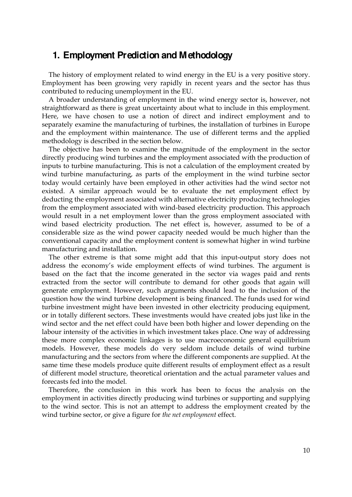## **1. Employment Prediction and Methodology**

The history of employment related to wind energy in the EU is a very positive story. Employment has been growing very rapidly in recent years and the sector has thus contributed to reducing unemployment in the EU.

A broader understanding of employment in the wind energy sector is, however, not straightforward as there is great uncertainty about what to include in this employment. Here, we have chosen to use a notion of direct and indirect employment and to separately examine the manufacturing of turbines, the installation of turbines in Europe and the employment within maintenance. The use of different terms and the applied methodology is described in the section below.

The objective has been to examine the magnitude of the employment in the sector directly producing wind turbines and the employment associated with the production of inputs to turbine manufacturing. This is not a calculation of the employment created by wind turbine manufacturing, as parts of the employment in the wind turbine sector today would certainly have been employed in other activities had the wind sector not existed. A similar approach would be to evaluate the net employment effect by deducting the employment associated with alternative electricity producing technologies from the employment associated with wind-based electricity production. This approach would result in a net employment lower than the gross employment associated with wind based electricity production. The net effect is, however, assumed to be of a considerable size as the wind power capacity needed would be much higher than the conventional capacity and the employment content is somewhat higher in wind turbine manufacturing and installation.

The other extreme is that some might add that this input-output story does not address the economy's wide employment effects of wind turbines. The argument is based on the fact that the income generated in the sector via wages paid and rents extracted from the sector will contribute to demand for other goods that again will generate employment. However, such arguments should lead to the inclusion of the question how the wind turbine development is being financed. The funds used for wind turbine investment might have been invested in other electricity producing equipment, or in totally different sectors. These investments would have created jobs just like in the wind sector and the net effect could have been both higher and lower depending on the labour intensity of the activities in which investment takes place. One way of addressing these more complex economic linkages is to use macroeconomic general equilibrium models. However, these models do very seldom include details of wind turbine manufacturing and the sectors from where the different components are supplied. At the same time these models produce quite different results of employment effect as a result of different model structure, theoretical orientation and the actual parameter values and forecasts fed into the model.

Therefore, the conclusion in this work has been to focus the analysis on the employment in activities directly producing wind turbines or supporting and supplying to the wind sector. This is not an attempt to address the employment created by the wind turbine sector, or give a figure for *the net employment* effect.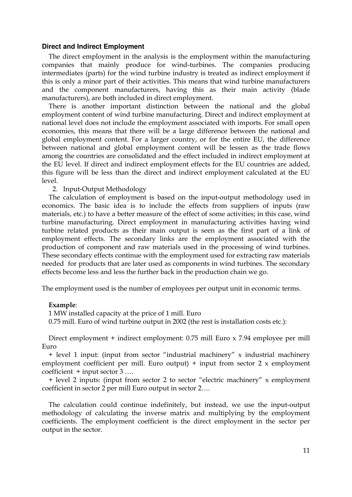#### **Direct and Indirect Employment**

The direct employment in the analysis is the employment within the manufacturing companies that mainly produce for wind-turbines. The companies producing intermediates (parts) for the wind turbine industry is treated as indirect employment if this is only a minor part of their activities. This means that wind turbine manufacturers and the component manufacturers, having this as their main activity (blade manufacturers), are both included in direct employment.

There is another important distinction between the national and the global employment content of wind turbine manufacturing. Direct and indirect employment at national level does not include the employment associated with imports. For small open economies, this means that there will be a large difference between the national and global employment content. For a larger country, or for the entire EU, the difference between national and global employment content will be lessen as the trade flows among the countries are consolidated and the effect included in indirect employment at the EU level. If direct and indirect employment effects for the EU countries are added, this figure will be less than the direct and indirect employment calculated at the EU level.

2. Input-Output Methodology

The calculation of employment is based on the input-output methodology used in economics. The basic idea is to include the effects from suppliers of inputs (raw materials, etc.) to have a better measure of the effect of some activities; in this case, wind turbine manufacturing. Direct employment in manufacturing activities having wind turbine related products as their main output is seen as the first part of a link of employment effects. The secondary links are the employment associated with the production of component and raw materials used in the processing of wind turbines. These secondary effects continue with the employment used for extracting raw materials needed for products that are later used as components in wind turbines. The secondary effects become less and less the further back in the production chain we go.

The employment used is the number of employees per output unit in economic terms.

#### **Example**:

1 MW installed capacity at the price of 1 mill. Euro

0.75 mill. Euro of wind turbine output in 2002 (the rest is installation costs etc.):

Direct employment + indirect employment: 0.75 mill Euro x 7.94 employee per mill Euro

+ level 1 input: (input from sector "industrial machinery" x industrial machinery employment coefficient per mill. Euro output)  $+$  input from sector 2 x employment coefficient + input sector 3 ….

+ level 2 inputs: (input from sector 2 to sector "electric machinery" x employment coefficient in sector 2 per mill Euro output in sector 2….

The calculation could continue indefinitely, but instead, we use the input-output methodology of calculating the inverse matrix and multiplying by the employment coefficients. The employment coefficient is the direct employment in the sector per output in the sector.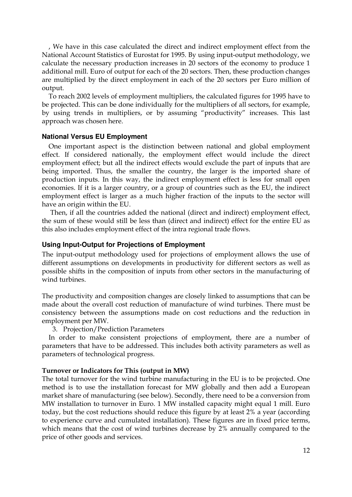, We have in this case calculated the direct and indirect employment effect from the National Account Statistics of Eurostat for 1995. By using input-output methodology, we calculate the necessary production increases in 20 sectors of the economy to produce 1 additional mill. Euro of output for each of the 20 sectors. Then, these production changes are multiplied by the direct employment in each of the 20 sectors per Euro million of output.

To reach 2002 levels of employment multipliers, the calculated figures for 1995 have to be projected. This can be done individually for the multipliers of all sectors, for example, by using trends in multipliers, or by assuming "productivity" increases. This last approach was chosen here.

#### **National Versus EU Employment**

One important aspect is the distinction between national and global employment effect. If considered nationally, the employment effect would include the direct employment effect; but all the indirect effects would exclude the part of inputs that are being imported. Thus, the smaller the country, the larger is the imported share of production inputs. In this way, the indirect employment effect is less for small open economies. If it is a larger country, or a group of countries such as the EU, the indirect employment effect is larger as a much higher fraction of the inputs to the sector will have an origin within the EU.

Then, if all the countries added the national (direct and indirect) employment effect, the sum of these would still be less than (direct and indirect) effect for the entire EU as this also includes employment effect of the intra regional trade flows.

#### **Using Input-Output for Projections of Employment**

The input-output methodology used for projections of employment allows the use of different assumptions on developments in productivity for different sectors as well as possible shifts in the composition of inputs from other sectors in the manufacturing of wind turbines.

The productivity and composition changes are closely linked to assumptions that can be made about the overall cost reduction of manufacture of wind turbines. There must be consistency between the assumptions made on cost reductions and the reduction in employment per MW.

3. Projection/Prediction Parameters

In order to make consistent projections of employment, there are a number of parameters that have to be addressed. This includes both activity parameters as well as parameters of technological progress.

#### **Turnover or Indicators for This (output in MW)**

The total turnover for the wind turbine manufacturing in the EU is to be projected. One method is to use the installation forecast for MW globally and then add a European market share of manufacturing (see below). Secondly, there need to be a conversion from MW installation to turnover in Euro. 1 MW installed capacity might equal 1 mill. Euro today, but the cost reductions should reduce this figure by at least 2% a year (according to experience curve and cumulated installation). These figures are in fixed price terms, which means that the cost of wind turbines decrease by 2% annually compared to the price of other goods and services.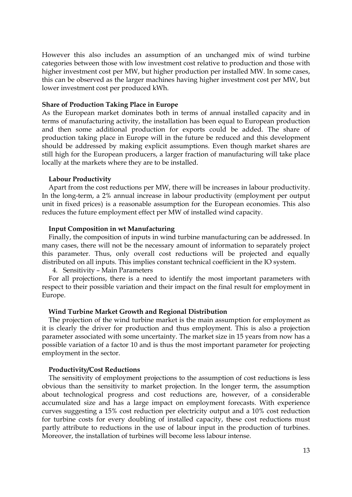However this also includes an assumption of an unchanged mix of wind turbine categories between those with low investment cost relative to production and those with higher investment cost per MW, but higher production per installed MW. In some cases, this can be observed as the larger machines having higher investment cost per MW, but lower investment cost per produced kWh.

#### **Share of Production Taking Place in Europe**

As the European market dominates both in terms of annual installed capacity and in terms of manufacturing activity, the installation has been equal to European production and then some additional production for exports could be added. The share of production taking place in Europe will in the future be reduced and this development should be addressed by making explicit assumptions. Even though market shares are still high for the European producers, a larger fraction of manufacturing will take place locally at the markets where they are to be installed.

#### **Labour Productivity**

Apart from the cost reductions per MW, there will be increases in labour productivity. In the long-term, a 2% annual increase in labour productivity (employment per output unit in fixed prices) is a reasonable assumption for the European economies. This also reduces the future employment effect per MW of installed wind capacity.

#### **Input Composition in wt Manufacturing**

Finally, the composition of inputs in wind turbine manufacturing can be addressed. In many cases, there will not be the necessary amount of information to separately project this parameter. Thus, only overall cost reductions will be projected and equally distributed on all inputs. This implies constant technical coefficient in the IO system.

4. Sensitivity – Main Parameters

For all projections, there is a need to identify the most important parameters with respect to their possible variation and their impact on the final result for employment in Europe.

#### **Wind Turbine Market Growth and Regional Distribution**

The projection of the wind turbine market is the main assumption for employment as it is clearly the driver for production and thus employment. This is also a projection parameter associated with some uncertainty. The market size in 15 years from now has a possible variation of a factor 10 and is thus the most important parameter for projecting employment in the sector.

#### **Productivity/Cost Reductions**

The sensitivity of employment projections to the assumption of cost reductions is less obvious than the sensitivity to market projection. In the longer term, the assumption about technological progress and cost reductions are, however, of a considerable accumulated size and has a large impact on employment forecasts. With experience curves suggesting a 15% cost reduction per electricity output and a 10% cost reduction for turbine costs for every doubling of installed capacity, these cost reductions must partly attribute to reductions in the use of labour input in the production of turbines. Moreover, the installation of turbines will become less labour intense.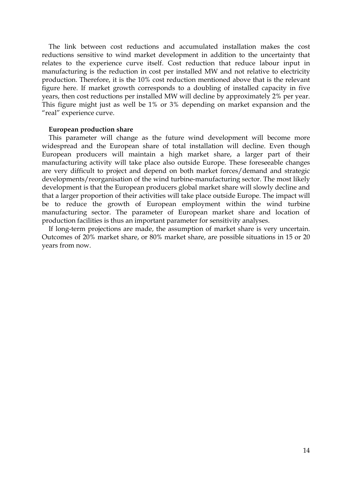The link between cost reductions and accumulated installation makes the cost reductions sensitive to wind market development in addition to the uncertainty that relates to the experience curve itself. Cost reduction that reduce labour input in manufacturing is the reduction in cost per installed MW and not relative to electricity production. Therefore, it is the 10% cost reduction mentioned above that is the relevant figure here. If market growth corresponds to a doubling of installed capacity in five years, then cost reductions per installed MW will decline by approximately 2% per year. This figure might just as well be 1% or 3% depending on market expansion and the "real" experience curve.

#### **European production share**

This parameter will change as the future wind development will become more widespread and the European share of total installation will decline. Even though European producers will maintain a high market share, a larger part of their manufacturing activity will take place also outside Europe. These foreseeable changes are very difficult to project and depend on both market forces/demand and strategic developments/reorganisation of the wind turbine-manufacturing sector. The most likely development is that the European producers global market share will slowly decline and that a larger proportion of their activities will take place outside Europe. The impact will be to reduce the growth of European employment within the wind turbine manufacturing sector. The parameter of European market share and location of production facilities is thus an important parameter for sensitivity analyses.

If long-term projections are made, the assumption of market share is very uncertain. Outcomes of 20% market share, or 80% market share, are possible situations in 15 or 20 years from now.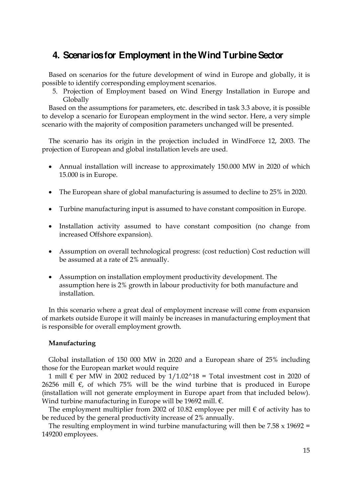## **4. Scenarios for Employment in the Wind Turbine Sector**

Based on scenarios for the future development of wind in Europe and globally, it is possible to identify corresponding employment scenarios.

5. Projection of Employment based on Wind Energy Installation in Europe and Globally

Based on the assumptions for parameters, etc. described in task 3.3 above, it is possible to develop a scenario for European employment in the wind sector. Here, a very simple scenario with the majority of composition parameters unchanged will be presented.

The scenario has its origin in the projection included in WindForce 12, 2003. The projection of European and global installation levels are used.

- Annual installation will increase to approximately 150.000 MW in 2020 of which 15.000 is in Europe.
- The European share of global manufacturing is assumed to decline to 25% in 2020.
- Turbine manufacturing input is assumed to have constant composition in Europe.
- Installation activity assumed to have constant composition (no change from increased Offshore expansion).
- Assumption on overall technological progress: (cost reduction) Cost reduction will be assumed at a rate of 2% annually.
- Assumption on installation employment productivity development. The assumption here is 2% growth in labour productivity for both manufacture and installation.

In this scenario where a great deal of employment increase will come from expansion of markets outside Europe it will mainly be increases in manufacturing employment that is responsible for overall employment growth.

#### **Manufacturing**

Global installation of 150 000 MW in 2020 and a European share of 25% including those for the European market would require

1 mill  $\epsilon$  per MW in 2002 reduced by  $1/1.02^{\text{A}}18$  = Total investment cost in 2020 of 26256 mill  $€$ , of which 75% will be the wind turbine that is produced in Europe (installation will not generate employment in Europe apart from that included below). Wind turbine manufacturing in Europe will be 19692 mill. €.

The employment multiplier from 2002 of 10.82 employee per mill  $\epsilon$  of activity has to be reduced by the general productivity increase of 2% annually.

The resulting employment in wind turbine manufacturing will then be  $7.58 \times 19692 =$ 149200 employees.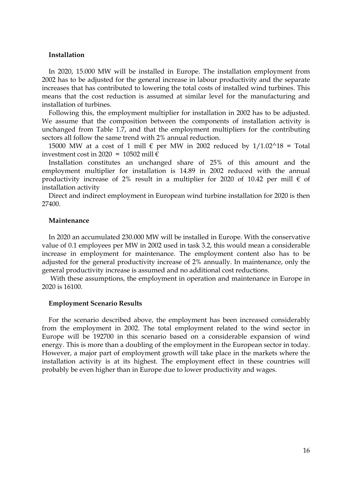#### **Installation**

In 2020, 15.000 MW will be installed in Europe. The installation employment from 2002 has to be adjusted for the general increase in labour productivity and the separate increases that has contributed to lowering the total costs of installed wind turbines. This means that the cost reduction is assumed at similar level for the manufacturing and installation of turbines.

Following this, the employment multiplier for installation in 2002 has to be adjusted. We assume that the composition between the components of installation activity is unchanged from Table 1.7, and that the employment multipliers for the contributing sectors all follow the same trend with 2% annual reduction.

15000 MW at a cost of 1 mill  $\epsilon$  per MW in 2002 reduced by 1/1.02^18 = Total investment cost in 2020 = 10502 mill  $\epsilon$ 

Installation constitutes an unchanged share of 25% of this amount and the employment multiplier for installation is 14.89 in 2002 reduced with the annual productivity increase of 2% result in a multiplier for 2020 of 10.42 per mill  $\epsilon$  of installation activity

Direct and indirect employment in European wind turbine installation for 2020 is then 27400.

#### **Maintenance**

In 2020 an accumulated 230.000 MW will be installed in Europe. With the conservative value of 0.1 employees per MW in 2002 used in task 3.2, this would mean a considerable increase in employment for maintenance. The employment content also has to be adjusted for the general productivity increase of 2% annually. In maintenance, only the general productivity increase is assumed and no additional cost reductions.

With these assumptions, the employment in operation and maintenance in Europe in 2020 is 16100.

#### **Employment Scenario Results**

For the scenario described above, the employment has been increased considerably from the employment in 2002. The total employment related to the wind sector in Europe will be 192700 in this scenario based on a considerable expansion of wind energy. This is more than a doubling of the employment in the European sector in today. However, a major part of employment growth will take place in the markets where the installation activity is at its highest. The employment effect in these countries will probably be even higher than in Europe due to lower productivity and wages.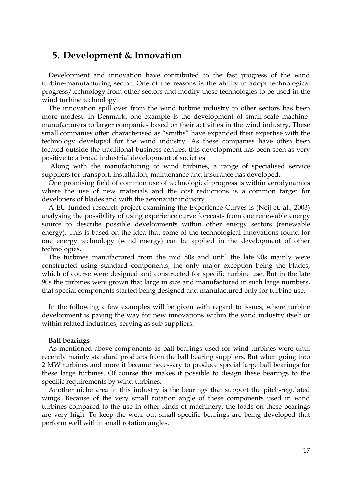## **5. Development & Innovation**

Development and innovation have contributed to the fast progress of the wind turbine-manufacturing sector. One of the reasons is the ability to adopt technological progress/technology from other sectors and modify these technologies to be used in the wind turbine technology.

The innovation spill over from the wind turbine industry to other sectors has been more modest. In Denmark, one example is the development of small-scale machinemanufacturers to larger companies based on their activities in the wind industry. These small companies often characterised as "smiths" have expanded their expertise with the technology developed for the wind industry. As these companies have often been located outside the traditional business centres, this development has been seen as very positive to a broad industrial development of societies.

Along with the manufacturing of wind turbines, a range of specialised service suppliers for transport, installation, maintenance and insurance has developed.

One promising field of common use of technological progress is within aerodynamics where the use of new materials and the cost reductions is a common target for developers of blades and with the aeronautic industry.

A EU funded research project examining the Experience Curves is (Neij et. al., 2003) analysing the possibility of using experience curve forecasts from one renewable energy source to describe possible developments within other energy sectors (renewable energy). This is based on the idea that some of the technological innovations found for one energy technology (wind energy) can be applied in the development of other technologies.

The turbines manufactured from the mid 80s and until the late 90s mainly were constructed using standard components, the only major exception being the blades, which of course were designed and constructed for specific turbine use. But in the late 90s the turbines were grown that large in size and manufactured in such large numbers, that special components started being designed and manufactured only for turbine use.

In the following a few examples will be given with regard to issues, where turbine development is paving the way for new innovations within the wind industry itself or within related industries, serving as sub suppliers.

#### **Ball bearings**

As mentioned above components as ball bearings used for wind turbines were until recently mainly standard products from the ball bearing suppliers. But when going into 2 MW turbines and more it became necessary to produce special large ball bearings for these large turbines. Of course this makes it possible to design these bearings to the specific requirements by wind turbines.

Another niche area in this industry is the bearings that support the pitch-regulated wings. Because of the very small rotation angle of these components used in wind turbines compared to the use in other kinds of machinery, the loads on these bearings are very high. To keep the wear out small specific bearings are being developed that perform well within small rotation angles.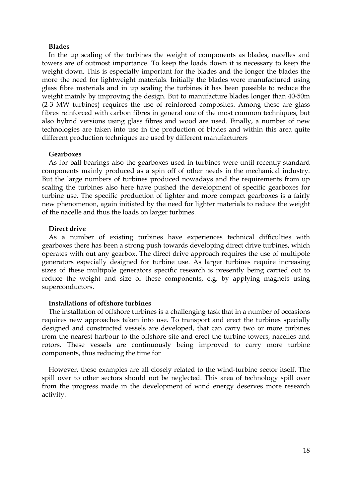#### **Blades**

In the up scaling of the turbines the weight of components as blades, nacelles and towers are of outmost importance. To keep the loads down it is necessary to keep the weight down. This is especially important for the blades and the longer the blades the more the need for lightweight materials. Initially the blades were manufactured using glass fibre materials and in up scaling the turbines it has been possible to reduce the weight mainly by improving the design. But to manufacture blades longer than 40-50m (2-3 MW turbines) requires the use of reinforced composites. Among these are glass fibres reinforced with carbon fibres in general one of the most common techniques, but also hybrid versions using glass fibres and wood are used. Finally, a number of new technologies are taken into use in the production of blades and within this area quite different production techniques are used by different manufacturers

#### **Gearboxes**

As for ball bearings also the gearboxes used in turbines were until recently standard components mainly produced as a spin off of other needs in the mechanical industry. But the large numbers of turbines produced nowadays and the requirements from up scaling the turbines also here have pushed the development of specific gearboxes for turbine use. The specific production of lighter and more compact gearboxes is a fairly new phenomenon, again initiated by the need for lighter materials to reduce the weight of the nacelle and thus the loads on larger turbines.

#### **Direct drive**

As a number of existing turbines have experiences technical difficulties with gearboxes there has been a strong push towards developing direct drive turbines, which operates with out any gearbox. The direct drive approach requires the use of multipole generators especially designed for turbine use. As larger turbines require increasing sizes of these multipole generators specific research is presently being carried out to reduce the weight and size of these components, e.g. by applying magnets using superconductors.

#### **Installations of offshore turbines**

The installation of offshore turbines is a challenging task that in a number of occasions requires new approaches taken into use. To transport and erect the turbines specially designed and constructed vessels are developed, that can carry two or more turbines from the nearest harbour to the offshore site and erect the turbine towers, nacelles and rotors. These vessels are continuously being improved to carry more turbine components, thus reducing the time for

However, these examples are all closely related to the wind-turbine sector itself. The spill over to other sectors should not be neglected. This area of technology spill over from the progress made in the development of wind energy deserves more research activity.